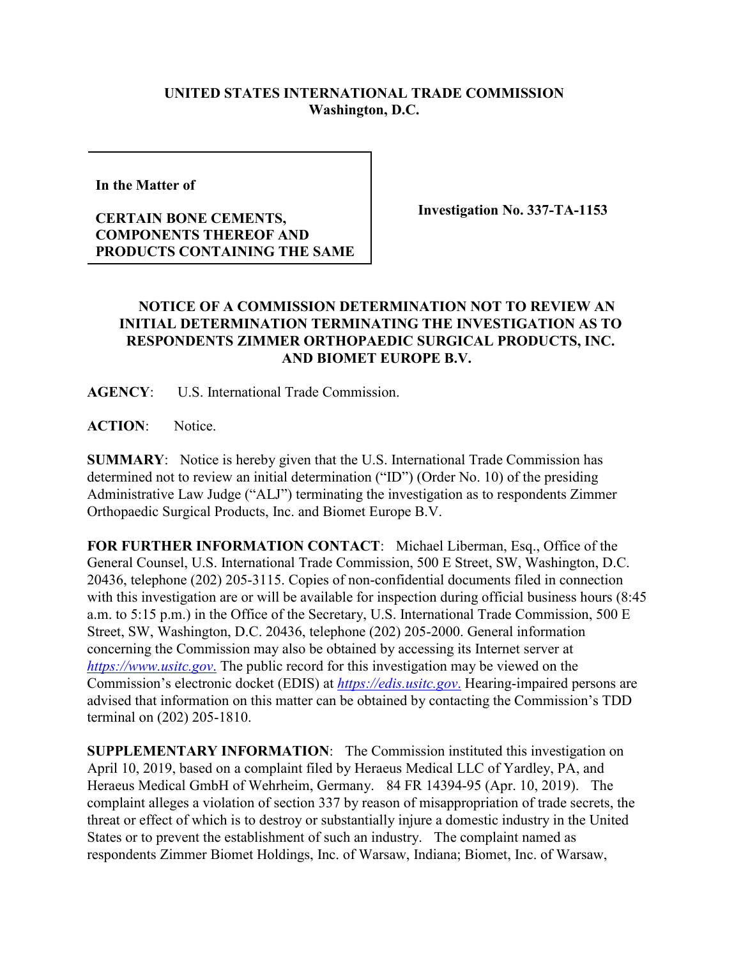## **UNITED STATES INTERNATIONAL TRADE COMMISSION Washington, D.C.**

**In the Matter of** 

## **CERTAIN BONE CEMENTS, COMPONENTS THEREOF AND PRODUCTS CONTAINING THE SAME**

**Investigation No. 337-TA-1153**

## **NOTICE OF A COMMISSION DETERMINATION NOT TO REVIEW AN INITIAL DETERMINATION TERMINATING THE INVESTIGATION AS TO RESPONDENTS ZIMMER ORTHOPAEDIC SURGICAL PRODUCTS, INC. AND BIOMET EUROPE B.V.**

**AGENCY**: U.S. International Trade Commission.

**ACTION**: Notice.

**SUMMARY**: Notice is hereby given that the U.S. International Trade Commission has determined not to review an initial determination ("ID") (Order No. 10) of the presiding Administrative Law Judge ("ALJ") terminating the investigation as to respondents Zimmer Orthopaedic Surgical Products, Inc. and Biomet Europe B.V.

**FOR FURTHER INFORMATION CONTACT**: Michael Liberman, Esq., Office of the General Counsel, U.S. International Trade Commission, 500 E Street, SW, Washington, D.C. 20436, telephone (202) 205-3115. Copies of non-confidential documents filed in connection with this investigation are or will be available for inspection during official business hours (8:45 a.m. to 5:15 p.m.) in the Office of the Secretary, U.S. International Trade Commission, 500 E Street, SW, Washington, D.C. 20436, telephone (202) 205-2000. General information concerning the Commission may also be obtained by accessing its Internet server at *[https://www.usitc.gov](https://www.usitc.gov./)*. The public record for this investigation may be viewed on the Commission's electronic docket (EDIS) at *[https://edis.usitc.gov](https://edis.usitc.gov./)*. Hearing-impaired persons are advised that information on this matter can be obtained by contacting the Commission's TDD terminal on (202) 205-1810.

**SUPPLEMENTARY INFORMATION**: The Commission instituted this investigation on April 10, 2019, based on a complaint filed by Heraeus Medical LLC of Yardley, PA, and Heraeus Medical GmbH of Wehrheim, Germany. 84 FR 14394-95 (Apr. 10, 2019). The complaint alleges a violation of section 337 by reason of misappropriation of trade secrets, the threat or effect of which is to destroy or substantially injure a domestic industry in the United States or to prevent the establishment of such an industry. The complaint named as respondents Zimmer Biomet Holdings, Inc. of Warsaw, Indiana; Biomet, Inc. of Warsaw,